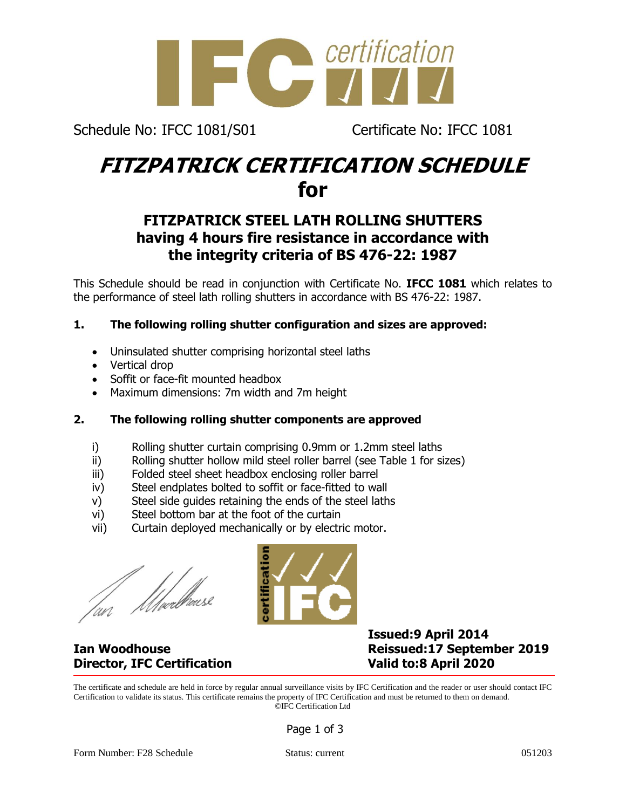

Schedule No: IFCC 1081/S01 Certificate No: IFCC 1081

## **FITZPATRICK CERTIFICATION SCHEDULE for**

### **FITZPATRICK STEEL LATH ROLLING SHUTTERS having 4 hours fire resistance in accordance with the integrity criteria of BS 476-22: 1987**

This Schedule should be read in conjunction with Certificate No. **IFCC 1081** which relates to the performance of steel lath rolling shutters in accordance with BS 476-22: 1987.

#### **1. The following rolling shutter configuration and sizes are approved:**

- Uninsulated shutter comprising horizontal steel laths
- Vertical drop
- Soffit or face-fit mounted headbox
- Maximum dimensions: 7m width and 7m height

#### **2. The following rolling shutter components are approved**

- i) Rolling shutter curtain comprising 0.9mm or 1.2mm steel laths
- ii) Rolling shutter hollow mild steel roller barrel (see Table 1 for sizes)
- iii) Folded steel sheet headbox enclosing roller barrel
- iv) Steel endplates bolted to soffit or face-fitted to wall
- v) Steel side guides retaining the ends of the steel laths
- vi) Steel bottom bar at the foot of the curtain
- vii) Curtain deployed mechanically or by electric motor.

///webhouse

# **Director, IFC Certification Valid to:8 April 2020**



### **Issued:9 April 2014 Ian Woodhouse Reissued:17 September 2019**

The certificate and schedule are held in force by regular annual surveillance visits by IFC Certification and the reader or user should contact IFC Certification to validate its status. This certificate remains the property of IFC Certification and must be returned to them on demand. ©IFC Certification Ltd

Page 1 of 3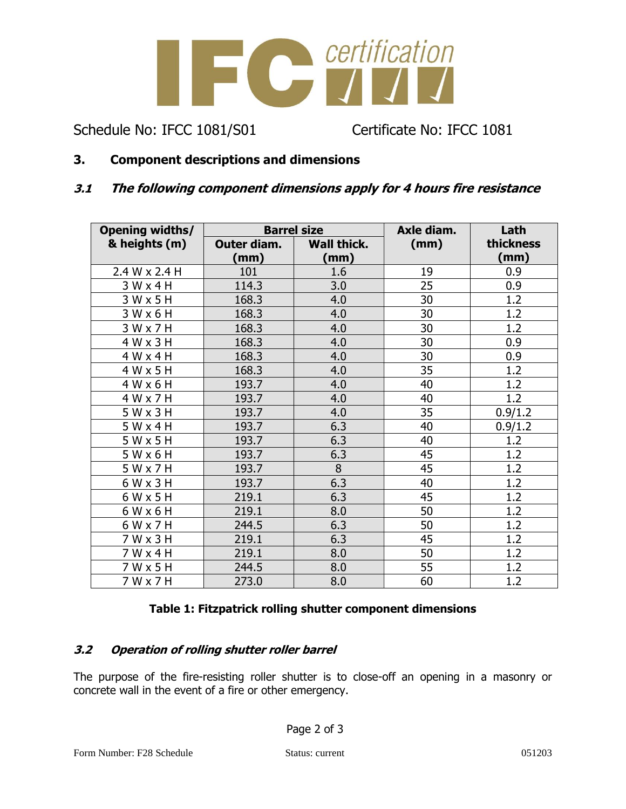

Schedule No: IFCC 1081/S01 Certificate No: IFCC 1081

#### **3. Component descriptions and dimensions**

#### **3.1 The following component dimensions apply for 4 hours fire resistance**

| <b>Opening widths/</b> | <b>Barrel size</b> |                    | Axle diam. | Lath      |
|------------------------|--------------------|--------------------|------------|-----------|
| & heights (m)          | Outer diam.        | <b>Wall thick.</b> | (mm)       | thickness |
|                        | (mm)               | (mm)               |            | (mm)      |
| 2.4 W x 2.4 H          | 101                | 1.6                | 19         | 0.9       |
| $3W \times 4H$         | 114.3              | 3.0                | 25         | 0.9       |
| $3W \times 5H$         | 168.3              | 4.0                | 30         | 1.2       |
| 3 W x 6 H              | 168.3              | 4.0                | 30         | 1.2       |
| 3Wx7H                  | 168.3              | 4.0                | 30         | 1.2       |
| 4 W x 3 H              | 168.3              | 4.0                | 30         | 0.9       |
| 4 W x 4 H              | 168.3              | 4.0                | 30         | 0.9       |
| 4 W x 5 H              | 168.3              | 4.0                | 35         | 1.2       |
| 4 W x 6 H              | 193.7              | 4.0                | 40         | 1.2       |
| 4 W x 7 H              | 193.7              | 4.0                | 40         | 1.2       |
| $5W \times 3H$         | 193.7              | 4.0                | 35         | 0.9/1.2   |
| $5W \times 4H$         | 193.7              | 6.3                | 40         | 0.9/1.2   |
| $5W \times 5H$         | 193.7              | 6.3                | 40         | 1.2       |
| $5W \times 6H$         | 193.7              | 6.3                | 45         | 1.2       |
| 5 W x 7 H              | 193.7              | 8                  | 45         | 1.2       |
| 6 W x 3 H              | 193.7              | 6.3                | 40         | 1.2       |
| 6 W x 5 H              | 219.1              | 6.3                | 45         | 1.2       |
| 6 W x 6 H              | 219.1              | 8.0                | 50         | 1.2       |
| 6 W x 7 H              | 244.5              | 6.3                | 50         | 1.2       |
| 7 W x 3 H              | 219.1              | 6.3                | 45         | 1.2       |
| $7W \times 4H$         | 219.1              | 8.0                | 50         | 1.2       |
| $7W \times 5H$         | 244.5              | 8.0                | 55         | 1.2       |
| 7 W x 7 H              | 273.0              | 8.0                | 60         | 1.2       |

#### **Table 1: Fitzpatrick rolling shutter component dimensions**

#### **3.2 Operation of rolling shutter roller barrel**

The purpose of the fire-resisting roller shutter is to close-off an opening in a masonry or concrete wall in the event of a fire or other emergency.